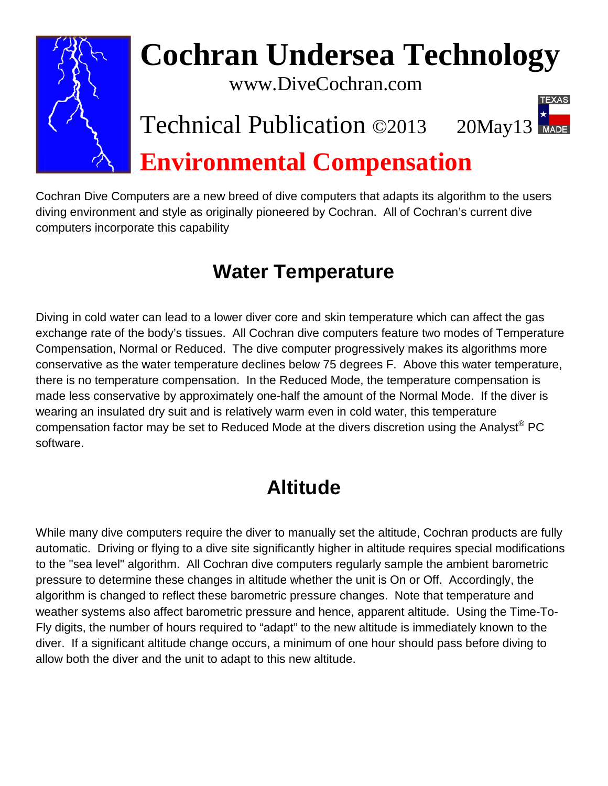

# **Cochran Undersea Technology**

www.DiveCochran.com

### Technical Publication ©2013 20May13

## **Environmental Compensation**

Cochran Dive Computers are a new breed of dive computers that adapts its algorithm to the users diving environment and style as originally pioneered by Cochran. All of Cochran's current dive computers incorporate this capability

#### **Water Temperature**

Diving in cold water can lead to a lower diver core and skin temperature which can affect the gas exchange rate of the body's tissues. All Cochran dive computers feature two modes of Temperature Compensation, Normal or Reduced. The dive computer progressively makes its algorithms more conservative as the water temperature declines below 75 degrees F. Above this water temperature, there is no temperature compensation. In the Reduced Mode, the temperature compensation is made less conservative by approximately one-half the amount of the Normal Mode. If the diver is wearing an insulated dry suit and is relatively warm even in cold water, this temperature compensation factor may be set to Reduced Mode at the divers discretion using the Analyst® PC software.

#### **Altitude**

While many dive computers require the diver to manually set the altitude, Cochran products are fully automatic. Driving or flying to a dive site significantly higher in altitude requires special modifications to the "sea level" algorithm. All Cochran dive computers regularly sample the ambient barometric pressure to determine these changes in altitude whether the unit is On or Off. Accordingly, the algorithm is changed to reflect these barometric pressure changes. Note that temperature and weather systems also affect barometric pressure and hence, apparent altitude. Using the Time-To-Fly digits, the number of hours required to "adapt" to the new altitude is immediately known to the diver. If a significant altitude change occurs, a minimum of one hour should pass before diving to allow both the diver and the unit to adapt to this new altitude.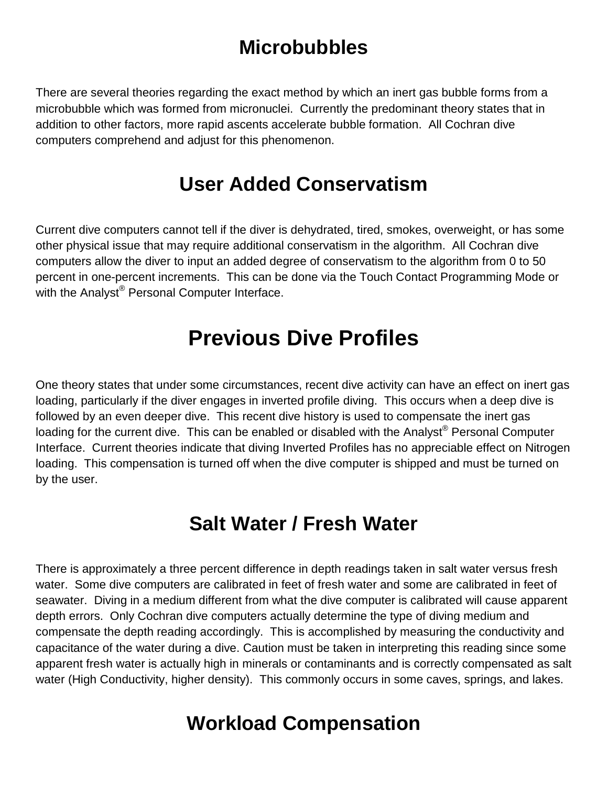#### **Microbubbles**

There are several theories regarding the exact method by which an inert gas bubble forms from a microbubble which was formed from micronuclei. Currently the predominant theory states that in addition to other factors, more rapid ascents accelerate bubble formation. All Cochran dive computers comprehend and adjust for this phenomenon.

#### **User Added Conservatism**

Current dive computers cannot tell if the diver is dehydrated, tired, smokes, overweight, or has some other physical issue that may require additional conservatism in the algorithm. All Cochran dive computers allow the diver to input an added degree of conservatism to the algorithm from 0 to 50 percent in one-percent increments. This can be done via the Touch Contact Programming Mode or with the Analyst® Personal Computer Interface.

#### **Previous Dive Profiles**

One theory states that under some circumstances, recent dive activity can have an effect on inert gas loading, particularly if the diver engages in inverted profile diving. This occurs when a deep dive is followed by an even deeper dive. This recent dive history is used to compensate the inert gas loading for the current dive. This can be enabled or disabled with the Analyst<sup>®</sup> Personal Computer Interface. Current theories indicate that diving Inverted Profiles has no appreciable effect on Nitrogen loading. This compensation is turned off when the dive computer is shipped and must be turned on by the user.

#### **Salt Water / Fresh Water**

There is approximately a three percent difference in depth readings taken in salt water versus fresh water. Some dive computers are calibrated in feet of fresh water and some are calibrated in feet of seawater. Diving in a medium different from what the dive computer is calibrated will cause apparent depth errors. Only Cochran dive computers actually determine the type of diving medium and compensate the depth reading accordingly. This is accomplished by measuring the conductivity and capacitance of the water during a dive. Caution must be taken in interpreting this reading since some apparent fresh water is actually high in minerals or contaminants and is correctly compensated as salt water (High Conductivity, higher density). This commonly occurs in some caves, springs, and lakes.

#### **Workload Compensation**